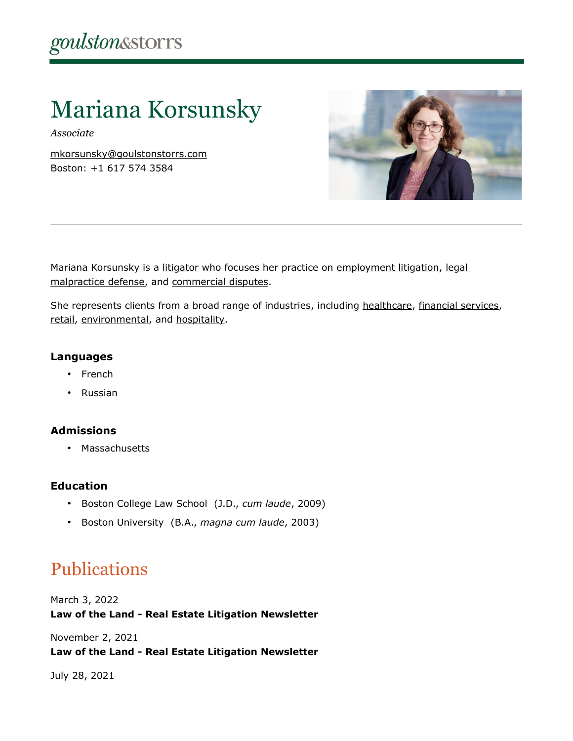# Mariana Korsunsky

*Associate*

[mkorsunsky@goulstonstorrs.com](mailto:mkorsunsky@goulstonstorrs.com) Boston: +1 617 574 3584



Mariana Korsunsky is a [litigator](https://www.goulstonstorrs.com/litigation/) who focuses her practice on [employment litigation,](https://www.goulstonstorrs.com/employment-litigation/) legal [malpractice defense,](https://www.goulstonstorrs.com/professional-liability/) and [commercial disputes.](https://www.goulstonstorrs.com/business-commercial-litigation/)

She represents clients from a broad range of industries, including [healthcare,](https://www.goulstonstorrs.com/health-care/) [financial services,](https://www.goulstonstorrs.com/financial-institutions/) [retail,](https://www.goulstonstorrs.com/retail-restaurant-consumer/) [environmental,](https://www.goulstonstorrs.com/environmental/) and [hospitality.](https://www.goulstonstorrs.com/hospitality-recreation/)

# **Languages**

- French
- Russian

# **Admissions**

• Massachusetts

# **Education**

- Boston College Law School (J.D., *cum laude*, 2009)
- Boston University (B.A., *magna cum laude*, 2003)

# Publications

March 3, 2022 **Law of the Land - Real Estate Litigation Newsletter**

November 2, 2021 **Law of the Land - Real Estate Litigation Newsletter**

July 28, 2021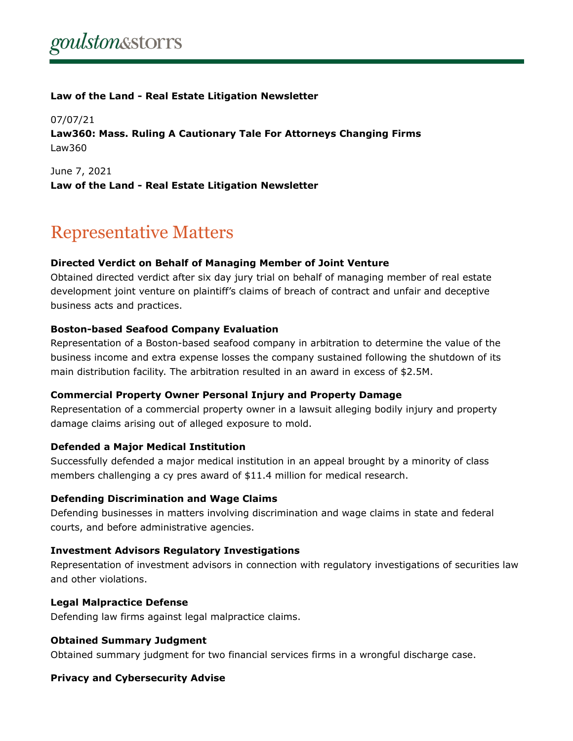### **Law of the Land - Real Estate Litigation Newsletter**

07/07/21 **Law360: Mass. Ruling A Cautionary Tale For Attorneys Changing Firms** Law360

June 7, 2021 **Law of the Land - Real Estate Litigation Newsletter**

# Representative Matters

#### **Directed Verdict on Behalf of Managing Member of Joint Venture**

Obtained directed verdict after six day jury trial on behalf of managing member of real estate development joint venture on plaintiff's claims of breach of contract and unfair and deceptive business acts and practices.

### **Boston-based Seafood Company Evaluation**

Representation of a Boston-based seafood company in arbitration to determine the value of the business income and extra expense losses the company sustained following the shutdown of its main distribution facility. The arbitration resulted in an award in excess of \$2.5M.

#### **Commercial Property Owner Personal Injury and Property Damage**

Representation of a commercial property owner in a lawsuit alleging bodily injury and property damage claims arising out of alleged exposure to mold.

#### **Defended a Major Medical Institution**

Successfully defended a major medical institution in an appeal brought by a minority of class members challenging a cy pres award of \$11.4 million for medical research.

#### **Defending Discrimination and Wage Claims**

Defending businesses in matters involving discrimination and wage claims in state and federal courts, and before administrative agencies.

#### **Investment Advisors Regulatory Investigations**

Representation of investment advisors in connection with regulatory investigations of securities law and other violations.

#### **Legal Malpractice Defense**

Defending law firms against legal malpractice claims.

#### **Obtained Summary Judgment**

Obtained summary judgment for two financial services firms in a wrongful discharge case.

#### **Privacy and Cybersecurity Advise**